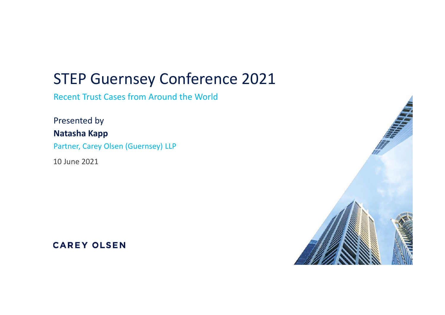# STEP Guernsey Conference 2021

Recent Trust Cases from Around the World

Presented by Natasha Kapp Partner, Carey Olsen (Guernsey) LLP

10 June 2021

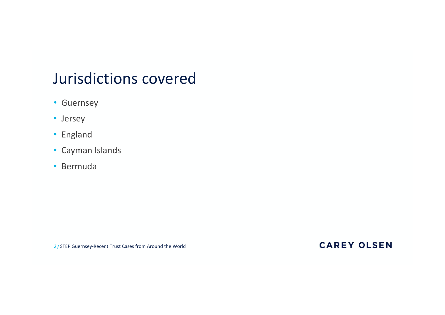# Jurisdictions covered

- Guernsey
- Jersey
- England
- Cayman Islands
- Bermuda

2/ STEP Guernsey-Recent Trust Cases from Around the World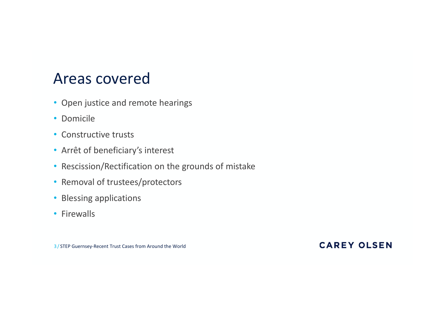## Areas covered

- Open justice and remote hearings
- Domicile
- Constructive trusts
- 
- Areas covered<br>• Open justice and remote hearings<br>• Domicile<br>• Constructive trusts<br>• Arrêt of beneficiary's interest<br>• Rescission/Rectification on the grounds of mistake<br>• Removal of trustees/protectors • Rescission/Rectification on the grounds of mistake
- Removal of trustees/protectors
- Blessing applications
- Firewalls

3/ STEP Guernsey-Recent Trust Cases from Around the World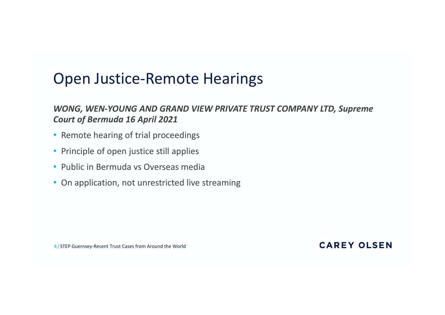## Open Justice-Remote Hearings

#### WONG, WEN-YOUNG AND GRAND VIEW PRIVATE TRUST COMPANY LTD, Supreme Court of Bermuda 16 April 2021

- Remote hearing of trial proceedings
- Principle of open justice still applies
- Public in Bermuda vs Overseas media
- On application, not unrestricted live streaming

4/ STEP Guernsey-Recent Trust Cases from Around the World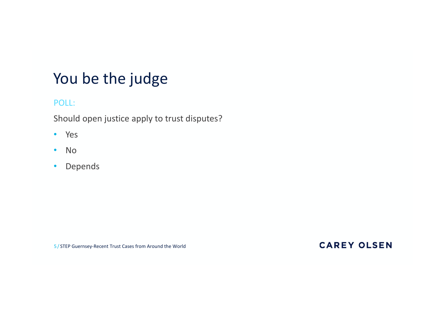# You be the judge

#### POLL:

Should open justice apply to trust disputes?

- Yes
- No
- Depends

5/ STEP Guernsey-Recent Trust Cases from Around the World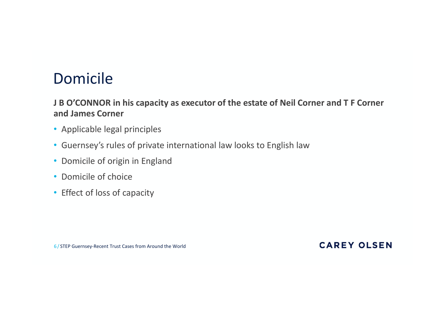# Domicile

#### J B O'CONNOR in his capacity as executor of the estate of Neil Corner and T F Corner and James Corner

- Applicable legal principles
- Guernsey's rules of private international law looks to English law
- Domicile of origin in England
- Domicile of choice
- Effect of loss of capacity

6/ STEP Guernsey-Recent Trust Cases from Around the World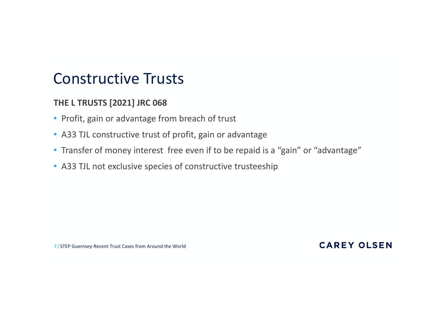## Constructive Trusts

#### THE L TRUSTS [2021] JRC 068

- Profit, gain or advantage from breach of trust
- A33 TJL constructive trust of profit, gain or advantage
- Transfer of money interest free even if to be repaid is a "gain" or "advantage"
- A33 TJL not exclusive species of constructive trusteeship

7/ STEP Guernsey-Recent Trust Cases from Around the World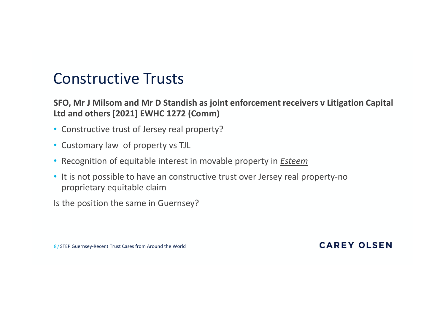## Constructive Trusts

CONSTructive Trusts<br>SFO, Mr J Milsom and Mr D Standish as joint enforcement receivers v Litigation Capital<br>Ltd and others [2021] EWHC 1272 (Comm)<br>• Constructive trust of Jersey real property?<br>• Cutters relieve of recentive Ltd and others [2021] EWHC 1272 (Comm)

- Constructive trust of Jersey real property?
- Customary law of property vs TJL
- Recognition of equitable interest in movable property in *Esteem*
- It is not possible to have an constructive trust over Jersey real property-no proprietary equitable claim

Is the position the same in Guernsey?

8/ STEP Guernsey-Recent Trust Cases from Around the World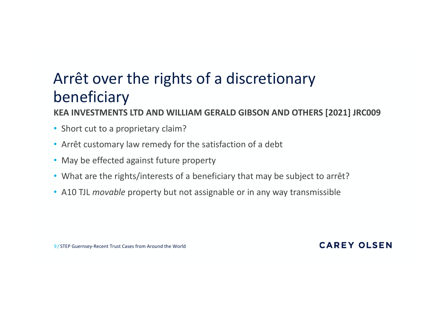# Arrêt over the rights of a discretionary<br>beneficiary<br><sub>KEA INVESTMENTS LTD AND WILLIAM GERALD GIBSON AND OTHERS [2021] J</sub> beneficiary Arrêt over the rights of a discretionary<br>
beneficiary<br>
KEA INVESTMENTS LTD AND WILLIAM GERALD GIBSON AND OTHERS [20<br>
• Short cut to a proprietary claim?<br>
• Arrêt customary law remedy for the satisfaction of a debt<br>
• May b

KEA INVESTMENTS LTD AND WILLIAM GERALD GIBSON AND OTHERS [2021] JRC009

- Short cut to a proprietary claim?
- 
- May be effected against future property
- What are the rights/interests of a beneficiary that may be subject to arrêt?
- A10 TJL *movable* property but not assignable or in any way transmissible

9/ STEP Guernsey-Recent Trust Cases from Around the World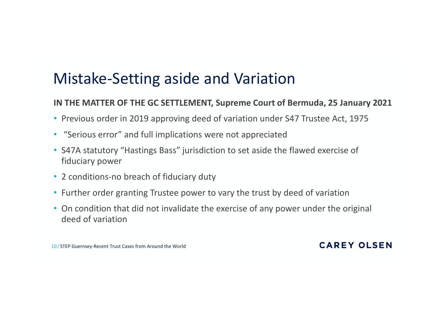# Mistake-Setting aside and Variation

#### IN THE MATTER OF THE GC SETTLEMENT, Supreme Court of Bermuda, 25 January 2021

- Previous order in 2019 approving deed of variation under S47 Trustee Act, 1975
- "Serious error" and full implications were not appreciated
- S47A statutory "Hastings Bass" jurisdiction to set aside the flawed exercise of fiduciary power
- 2 conditions-no breach of fiduciary duty
- Further order granting Trustee power to vary the trust by deed of variation
- On condition that did not invalidate the exercise of any power under the original deed of variation

10/ STEP Guernsey-Recent Trust Cases from Around the World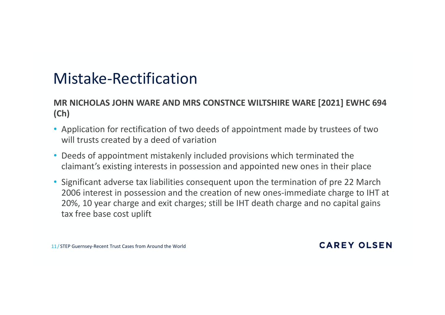# Mistake-Rectification

#### MR NICHOLAS JOHN WARE AND MRS CONSTNCE WILTSHIRE WARE [2021] EWHC 694 (Ch)

- Application for rectification of two deeds of appointment made by trustees of two will trusts created by a deed of variation
- Deeds of appointment mistakenly included provisions which terminated the claimant's existing interests in possession and appointed new ones in their place
- Significant adverse tax liabilities consequent upon the termination of pre 22 March 2006 interest in possession and the creation of new ones-immediate charge to IHT at 20%, 10 year charge and exit charges; still be IHT death charge and no capital gains tax free base cost uplift

11/ STEP Guernsey-Recent Trust Cases from Around the World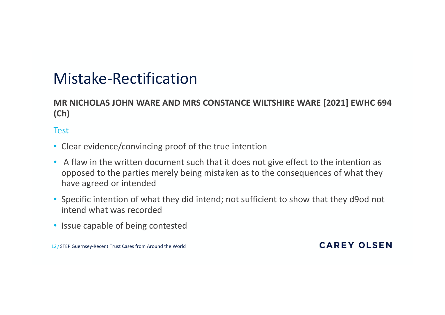# Mistake-Rectification

#### MR NICHOLAS JOHN WARE AND MRS CONSTANCE WILTSHIRE WARE [2021] EWHC 694 (Ch)

#### Test

- Clear evidence/convincing proof of the true intention
- A flaw in the written document such that it does not give effect to the intention as opposed to the parties merely being mistaken as to the consequences of what they have agreed or intended
- Specific intention of what they did intend; not sufficient to show that they d9od not intend what was recorded
- Issue capable of being contested

12/ STEP Guernsey-Recent Trust Cases from Around the World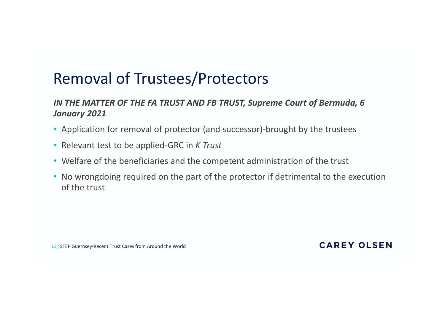# Removal of Trustees/Protectors

#### IN THE MATTER OF THE FA TRUST AND FB TRUST, Supreme Court of Bermuda, 6 January 2021

- Application for removal of protector (and successor)-brought by the trustees
- Relevant test to be applied-GRC in K Trust
- Welfare of the beneficiaries and the competent administration of the trust
- No wrongdoing required on the part of the protector if detrimental to the execution of the trust

13/ STEP Guernsey-Recent Trust Cases from Around the World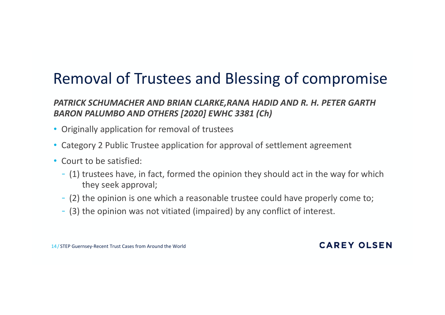# Removal of Trustees and Blessing of compromise

# PATRICK SCHUMACHER AND BRIAN CLARKE,RANA HADID AND R. H. PETER GARTH BARON PALUMBO AND OTHERS [2020] EWHC 3381 (Ch) **EXECUTE OF THE COMPTOM COMPTOM IS ONEXE A REASON AND BRIAN CLARKE, RANA HADID AND R. H. PETER GARTH**<br> **Driginally application for removal of trustees**<br>
Category 2 Public Trustee application for approval of settlement agre

- Originally application for removal of trustees
- Category 2 Public Trustee application for approval of settlement agreement
- Court to be satisfied:
	- (1) trustees have, in fact, formed the opinion they should act in the way for which they seek approval;
	-
	-

14/ STEP Guernsey-Recent Trust Cases from Around the World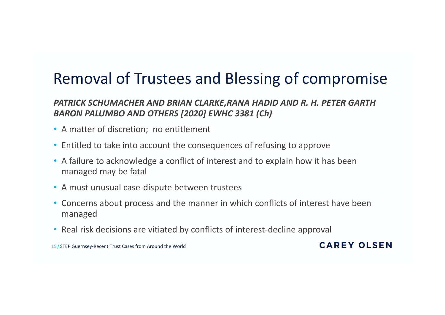# Removal of Trustees and Blessing of compromise

# PATRICK SCHUMACHER AND BRIAN CLARKE,RANA HADID AND R. H. PETER GARTH BARON PALUMBO AND OTHERS [2020] EWHC 3381 (Ch) **Removal of Trustees and Blessing of compromise**<br> **PATRICK SCHUMACHER AND BRIAN CLARKE,RANA HADID AND R. H. PETER GARTH**<br> **BARON PALUMBO AND OTHERS [2020] EWHC 3381 (Ch)**<br>
• A matter of discretion; no entitlement<br>
• Entitl **Removal of Trustees and Blessing of compromise**<br> **PATRICK SCHUMACHER AND BRIAN CLARKE,RANA HADID AND R. H. PETER GARTH**<br> **BARON PALUMBO AND OTHERS [2020] EWHC 3381 (Ch)**<br>
• A matter of discretion; no entitlement<br>
• Entitl

- A matter of discretion; no entitlement
- 
- A failure to acknowledge a conflict of interest and to explain how it has been managed may be fatal
- A must unusual case-dispute between trustees
- managed
- Real risk decisions are vitiated by conflicts of interest-decline approval

15/ STEP Guernsey-Recent Trust Cases from Around the World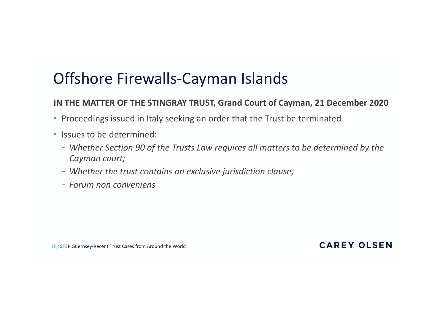# Offshore Firewalls-Cayman Islands

#### IN THE MATTER OF THE STINGRAY TRUST, Grand Court of Cayman, 21 December 2020

- Proceedings issued in Italy seeking an order that the Trust be terminated
- Issues to be determined:
	- Whether Section 90 of the Trusts Law requires all matters to be determined by the Cayman court;
	- Whether the trust contains an exclusive jurisdiction clause;
	- Forum non conveniens

16/ STEP Guernsey-Recent Trust Cases from Around the World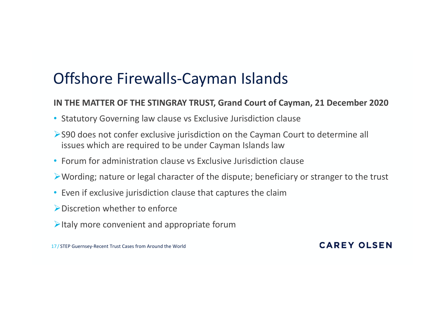# Offshore Firewalls-Cayman Islands

#### IN THE MATTER OF THE STINGRAY TRUST, Grand Court of Cayman, 21 December 2020

- Statutory Governing law clause vs Exclusive Jurisdiction clause
- S90 does not confer exclusive jurisdiction on the Cayman Court to determine all issues which are required to be under Cayman Islands law
- Forum for administration clause vs Exclusive Jurisdiction clause
- Wording; nature or legal character of the dispute; beneficiary or stranger to the trust
- Even if exclusive jurisdiction clause that captures the claim
- Discretion whether to enforce
- $\triangleright$ Italy more convenient and appropriate forum

17/ STEP Guernsey-Recent Trust Cases from Around the World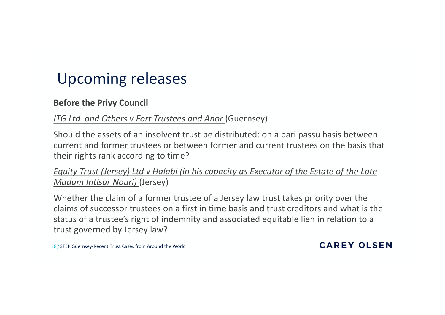# Upcoming releases

#### Before the Privy Council

#### ITG Ltd and Others v Fort Trustees and Anor (Guernsey)

Upcoming releases<br>
Before the Privy Council<br>
ITG Ltd and Others v Fort Trustees and Anor (Guernsey)<br>
Should the assets of an insolvent trust be distributed: on a pari passu basis between<br>
current and former trustees or bet current and former trustees or between former and current trustees on the basis that their rights rank according to time? **Upcoming releases**<br> **Example 15 And Others v** Fort Trustees and Anor (Guernsey)<br>
Should the assets of an insolvent trust be distributed: on a pari passu basis between<br>
current and former trustees or between former and cur

Madam Intisar Nouri) (Jersey)

Whether the claim of a former trustee of a Jersey law trust takes priority over the claims of successor trustees on a first in time basis and trust creditors and what is the status of a trustee's right of indemnity and associated equitable lien in relation to a trust governed by Jersey law?

18/ STEP Guernsey-Recent Trust Cases from Around the World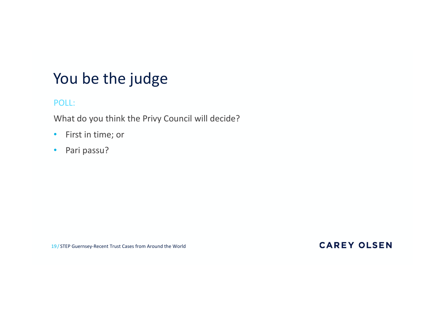# You be the judge You be the judge<br>POLL:<br>What do you think the Privy Council will decide?<br>• First in time; or<br>• Pari passu?

#### POLL:

What do you think the Privy Council will decide?

- First in time; or
- 

19/ STEP Guernsey-Recent Trust Cases from Around the World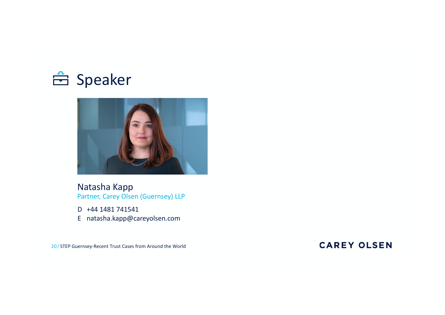



Natasha Kapp Partner, Carey Olsen (Guernsey) LLP

D +44 1481 741541

E natasha.kapp@careyolsen.com

20 / STEP Guernsey-Recent Trust Cases from Around the World